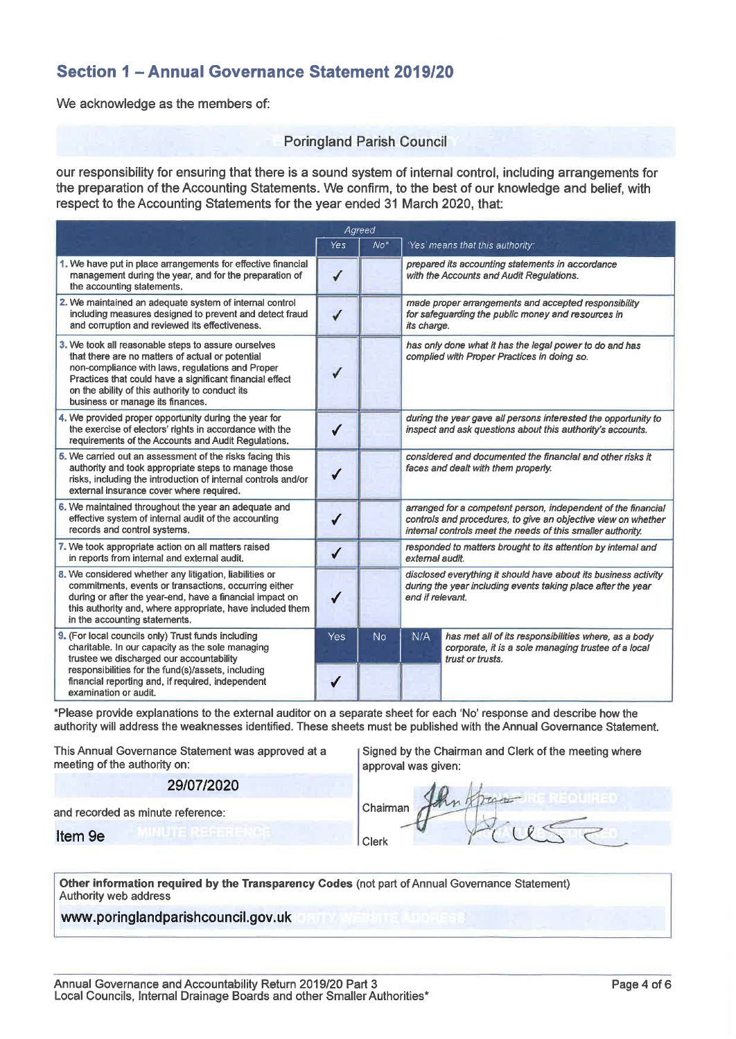# Section 1 - Annual Governance Statement 2019/20

We acknowledge as the members of:

#### **Poringland Parish Council**

our responsibility for ensuring that there is a sound system of internal control, including arrangements for the preparation of the Accounting Statements. We confirm, to the best of our knowledge and belief, with respect to the Accounting Statements for the year ended 31 March 2020, that:

|                                                                                                                                                                                                                                                                                                                | Agreed       |           |                                                                                                                                                                                               |                                                                                                                                 |  |
|----------------------------------------------------------------------------------------------------------------------------------------------------------------------------------------------------------------------------------------------------------------------------------------------------------------|--------------|-----------|-----------------------------------------------------------------------------------------------------------------------------------------------------------------------------------------------|---------------------------------------------------------------------------------------------------------------------------------|--|
|                                                                                                                                                                                                                                                                                                                | Yes          | $No*$     |                                                                                                                                                                                               | 'Yes' means that this authority:                                                                                                |  |
| 1. We have put in place arrangements for effective financial<br>management during the year, and for the preparation of<br>the accounting statements.                                                                                                                                                           | ✓            |           | prepared its accounting statements in accordance<br>with the Accounts and Audit Requlations.                                                                                                  |                                                                                                                                 |  |
| 2. We maintained an adequate system of internal control<br>including measures designed to prevent and detect fraud<br>and corruption and reviewed its effectiveness.                                                                                                                                           | ✓            |           | made proper arrangements and accepted responsibility<br>for safeguarding the public money and resources in<br>its charge.                                                                     |                                                                                                                                 |  |
| 3. We took all reasonable steps to assure ourselves<br>that there are no matters of actual or potential<br>non-compliance with laws, regulations and Proper<br>Practices that could have a significant financial effect<br>on the ability of this authority to conduct its<br>business or manage its finances. |              |           | has only done what it has the legal power to do and has<br>complied with Proper Practices in doing so.                                                                                        |                                                                                                                                 |  |
| 4. We provided proper opportunity during the year for<br>the exercise of electors' rights in accordance with the<br>requirements of the Accounts and Audit Regulations.                                                                                                                                        | ✔            |           | during the year gave all persons interested the opportunity to<br>inspect and ask questions about this authority's accounts.                                                                  |                                                                                                                                 |  |
| 5. We carried out an assessment of the risks facing this<br>authority and took appropriate steps to manage those<br>risks, including the introduction of internal controls and/or<br>external insurance cover where required.                                                                                  |              |           | considered and documented the financial and other risks it<br>faces and dealt with them properly.                                                                                             |                                                                                                                                 |  |
| 6. We maintained throughout the year an adequate and<br>effective system of internal audit of the accounting<br>records and control systems.                                                                                                                                                                   |              |           | arranged for a competent person, independent of the financial<br>controls and procedures, to give an objective view on whether<br>internal controls meet the needs of this smaller authority. |                                                                                                                                 |  |
| 7. We took appropriate action on all matters raised<br>in reports from internal and external audit.                                                                                                                                                                                                            | $\checkmark$ |           | responded to matters brought to its attention by internal and<br>external audit.                                                                                                              |                                                                                                                                 |  |
| 8. We considered whether any litigation, liabilities or<br>commitments, events or transactions, occurring either<br>during or after the year-end, have a financial impact on<br>this authority and, where appropriate, have included them<br>in the accounting statements.                                     | ✔            |           | disclosed everything it should have about its business activity<br>during the year including events taking place after the year<br>end if relevant.                                           |                                                                                                                                 |  |
| 9. (For local councils only) Trust funds including<br>charitable. In our capacity as the sole managing<br>trustee we discharged our accountability<br>responsibilities for the fund(s)/assets, including<br>financial reporting and, if required, independent                                                  | Yes          | <b>No</b> | N/A                                                                                                                                                                                           | has met all of its responsibilities where, as a body<br>corporate, it is a sole managing trustee of a local<br>trust or trusts. |  |
| examination or audit.                                                                                                                                                                                                                                                                                          |              |           |                                                                                                                                                                                               |                                                                                                                                 |  |

\*Please provide explanations to the external auditor on a separate sheet for each 'No' response and describe how the authority will address the weaknesses identified. These sheets must be published with the Annual Governance Statement.

Clerk

This Annual Governance Statement was approved at a meeting of the authority on:

#### 29/07/2020

Signed by the Chairman and Clerk of the meeting where approval was given:

Chairman

and recorded as minute reference:

Item 9e

| Other information required by the Transparency Codes (not part of Annual Governance Statement) |  |  |  |
|------------------------------------------------------------------------------------------------|--|--|--|
| Authority web address                                                                          |  |  |  |

www.poringlandparishcouncil.gov.uk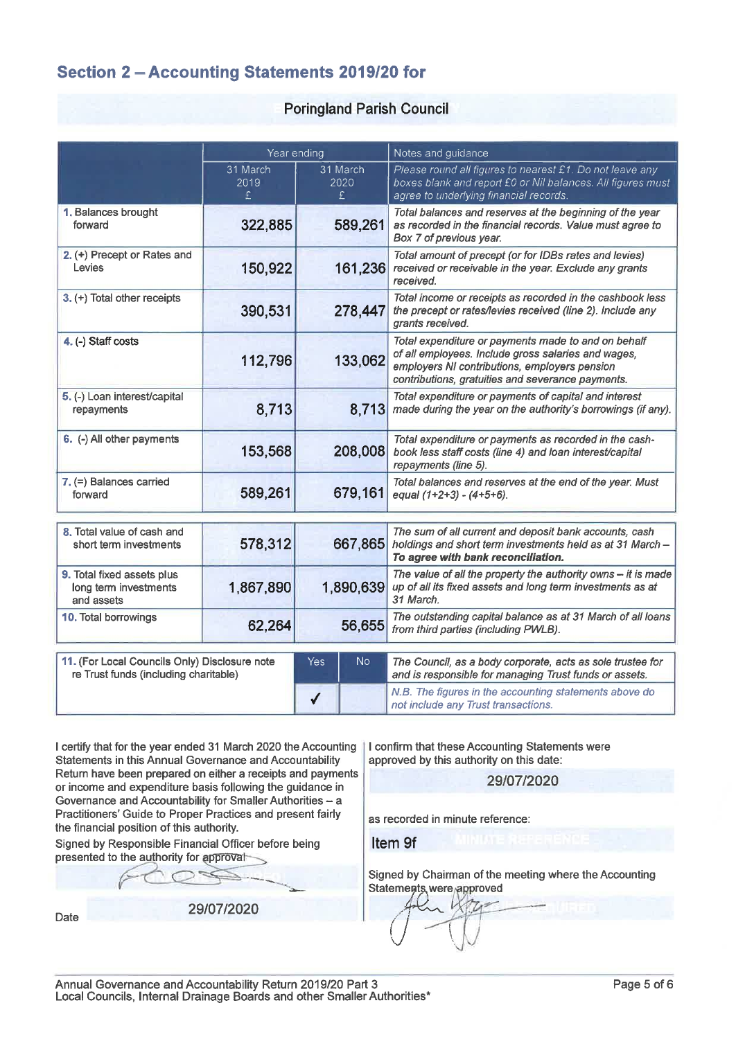# Section 2 - Accounting Statements 2019/20 for

#### **Poringland Parish Council**

|                                                                                        | Year ending           |                        | Notes and guidance                                                                                                                                                                                               |  |  |
|----------------------------------------------------------------------------------------|-----------------------|------------------------|------------------------------------------------------------------------------------------------------------------------------------------------------------------------------------------------------------------|--|--|
|                                                                                        | 31 March<br>2019<br>£ | 31 March<br>2020<br>£. | Please round all figures to nearest £1. Do not leave any<br>boxes blank and report £0 or Nil balances. All figures must<br>agree to underlying financial records.                                                |  |  |
| 1. Balances brought<br>forward                                                         | 322,885               | 589,261                | Total balances and reserves at the beginning of the year<br>as recorded in the financial records. Value must agree to<br>Box 7 of previous year.                                                                 |  |  |
| 2. (+) Precept or Rates and<br>Levies                                                  | 150,922               | 161,236                | Total amount of precept (or for IDBs rates and levies)<br>received or receivable in the year. Exclude any grants<br>received.                                                                                    |  |  |
| 3. (+) Total other receipts                                                            | 390,531               | 278,447                | Total income or receipts as recorded in the cashbook less<br>the precept or rates/levies received (line 2). Include any<br>grants received.                                                                      |  |  |
| 4. (-) Staff costs                                                                     | 112,796               | 133,062                | Total expenditure or payments made to and on behalf<br>of all employees. Include gross salaries and wages,<br>employers NI contributions, employers pension<br>contributions, gratuities and severance payments. |  |  |
| 5. (-) Loan interest/capital<br>repayments                                             | 8,713                 | 8,713                  | Total expenditure or payments of capital and interest<br>made during the year on the authority's borrowings (if any).                                                                                            |  |  |
| 6. (-) All other payments                                                              | 153,568               | 208,008                | Total expenditure or payments as recorded in the cash-<br>book less staff costs (line 4) and loan interest/capital<br>repayments (line 5).                                                                       |  |  |
| 7. (=) Balances carried<br>forward                                                     | 589,261               | 679,161                | Total balances and reserves at the end of the year. Must<br>equal $(1+2+3) - (4+5+6)$ .                                                                                                                          |  |  |
| 8. Total value of cash and<br>short term investments                                   | 578,312               | 667,865                | The sum of all current and deposit bank accounts, cash<br>holdings and short term investments held as at 31 March -<br>To agree with bank reconciliation.                                                        |  |  |
| 9. Total fixed assets plus<br>long term investments<br>and assets                      | 1,867,890             | 1,890,639              | The value of all the property the authority owns $-$ it is made<br>up of all its fixed assets and long term investments as at<br>31 March.                                                                       |  |  |
| 10. Total borrowings                                                                   | 62,264                | 56,655                 | The outstanding capital balance as at 31 March of all loans<br>from third parties (including PWLB).                                                                                                              |  |  |
| 11. (For Local Councils Only) Disclosure note<br>re Trust funds (including charitable) |                       | No.<br><b>Yes</b>      | The Council, as a body corporate, acts as sole trustee for<br>and is responsible for managing Trust funds or assets.                                                                                             |  |  |
|                                                                                        |                       | ✔                      | N.B. The figures in the accounting statements above do<br>not include any Trust transactions.                                                                                                                    |  |  |

I certify that for the year ended 31 March 2020 the Accounting Statements in this Annual Governance and Accountability Return have been prepared on either a receipts and payments or income and expenditure basis following the guidance in Governance and Accountability for Smaller Authorities - a Practitioners' Guide to Proper Practices and present fairly the financial position of this authority.

Signed by Responsible Financial Officer before being presented to the authority for approval

Date

29/07/2020

I confirm that these Accounting Statements were approved by this authority on this date:

29/07/2020

as recorded in minute reference:

Item 9f

Signed by Chairman of the meeting where the Accounting Statements were approved

Annual Governance and Accountability Return 2019/20 Part 3 Local Councils, Internal Drainage Boards and other Smaller Authorities\*